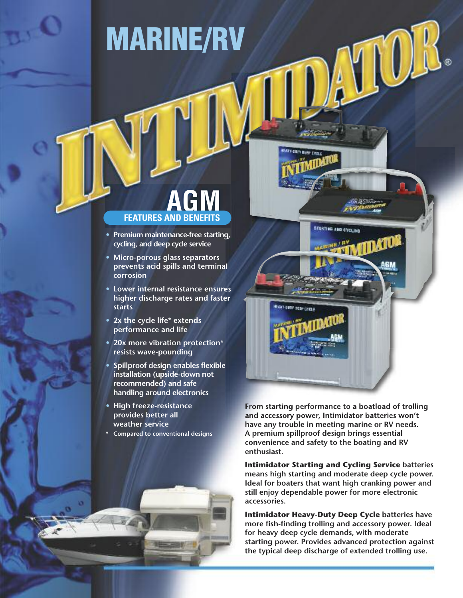# **MARINE/RV**

## **FEATURES AND BENEFITS M**

- **• Premium maintenance-free starting, cycling, and deep cycle service**
- **• Micro-porous glass separators prevents acid spills and terminal corrosion**
- **• Lower internal resistance ensures higher discharge rates and faster starts**
- **• 2x the cycle life\* extends performance and life**
- **• 20x more vibration protection\* resists wave-pounding**
- **• Spillproof design enables flexible installation (upside-down not recommended) and safe handling around electronics**
- **• High freeze-resistance provides better all weather service**
- **\* Compared to conventional designs**

**From starting performance to a boatload of trolling and accessory power, Intimidator batteries won't have any trouble in meeting marine or RV needs. A premium spillproof design brings essential convenience and safety to the boating and RV enthusiast.**

**ETAKTING AND CYCLIND** 

**LUTT TELE CYPE** 

**Intimidator Starting and Cycling Service batteries means high starting and moderate deep cycle power. Ideal for boaters that want high cranking power and still enjoy dependable power for more electronic accessories.**

**Intimidator Heavy-Duty Deep Cycle batteries have more fish-finding trolling and accessory power. Ideal for heavy deep cycle demands, with moderate starting power. Provides advanced protection against the typical deep discharge of extended trolling use.**